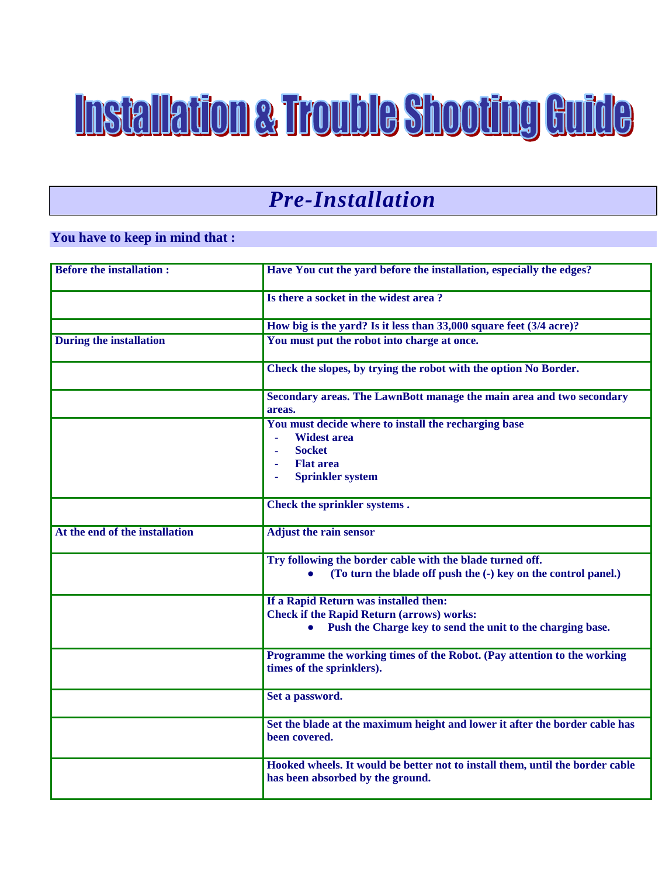# **Installation & Trouble Shooting Guide**

### *Pre-Installation*

#### **You have to keep in mind that :**

| <b>Before the installation:</b> | Have You cut the yard before the installation, especially the edges?                                                                                                         |
|---------------------------------|------------------------------------------------------------------------------------------------------------------------------------------------------------------------------|
|                                 | Is there a socket in the widest area?                                                                                                                                        |
|                                 | How big is the yard? Is it less than 33,000 square feet (3/4 acre)?                                                                                                          |
| <b>During the installation</b>  | You must put the robot into charge at once.                                                                                                                                  |
|                                 | Check the slopes, by trying the robot with the option No Border.                                                                                                             |
|                                 | Secondary areas. The LawnBott manage the main area and two secondary<br>areas.                                                                                               |
|                                 | You must decide where to install the recharging base<br><b>Widest area</b><br>L,<br><b>Socket</b><br>$\overline{\phantom{a}}$<br><b>Flat area</b><br><b>Sprinkler system</b> |
|                                 | Check the sprinkler systems.                                                                                                                                                 |
| At the end of the installation  | <b>Adjust the rain sensor</b>                                                                                                                                                |
|                                 | Try following the border cable with the blade turned off.<br>(To turn the blade off push the (-) key on the control panel.)                                                  |
|                                 | If a Rapid Return was installed then:<br><b>Check if the Rapid Return (arrows) works:</b><br>Push the Charge key to send the unit to the charging base.                      |
|                                 | Programme the working times of the Robot. (Pay attention to the working<br>times of the sprinklers).                                                                         |
|                                 | Set a password.                                                                                                                                                              |
|                                 | Set the blade at the maximum height and lower it after the border cable has<br>been covered.                                                                                 |
|                                 | Hooked wheels. It would be better not to install them, until the border cable<br>has been absorbed by the ground.                                                            |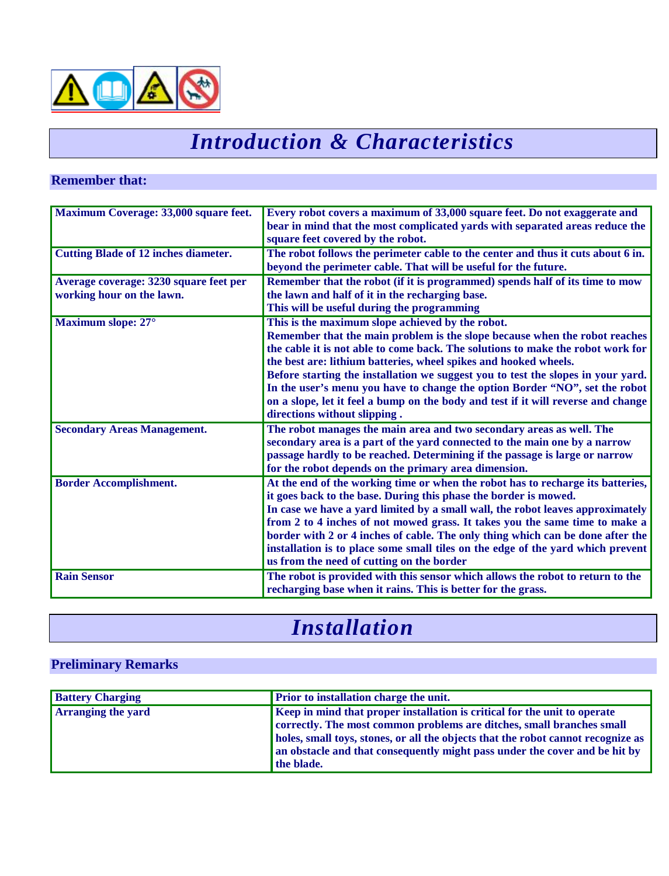

### *Introduction & Characteristics*

#### **Remember that:**

| Maximum Coverage: 33,000 square feet.       | Every robot covers a maximum of 33,000 square feet. Do not exaggerate and<br>bear in mind that the most complicated yards with separated areas reduce the |
|---------------------------------------------|-----------------------------------------------------------------------------------------------------------------------------------------------------------|
|                                             | square feet covered by the robot.                                                                                                                         |
|                                             |                                                                                                                                                           |
| <b>Cutting Blade of 12 inches diameter.</b> | The robot follows the perimeter cable to the center and thus it cuts about 6 in.                                                                          |
|                                             | beyond the perimeter cable. That will be useful for the future.                                                                                           |
| Average coverage: 3230 square feet per      | Remember that the robot (if it is programmed) spends half of its time to mow                                                                              |
| working hour on the lawn.                   | the lawn and half of it in the recharging base.                                                                                                           |
|                                             | This will be useful during the programming                                                                                                                |
| Maximum slope: 27°                          | This is the maximum slope achieved by the robot.                                                                                                          |
|                                             | Remember that the main problem is the slope because when the robot reaches                                                                                |
|                                             | the cable it is not able to come back. The solutions to make the robot work for                                                                           |
|                                             | the best are: lithium batteries, wheel spikes and hooked wheels.                                                                                          |
|                                             | Before starting the installation we suggest you to test the slopes in your yard.                                                                          |
|                                             | In the user's menu you have to change the option Border "NO", set the robot                                                                               |
|                                             | on a slope, let it feel a bump on the body and test if it will reverse and change                                                                         |
|                                             | directions without slipping.                                                                                                                              |
| <b>Secondary Areas Management.</b>          | The robot manages the main area and two secondary areas as well. The                                                                                      |
|                                             | secondary area is a part of the yard connected to the main one by a narrow                                                                                |
|                                             | passage hardly to be reached. Determining if the passage is large or narrow                                                                               |
|                                             | for the robot depends on the primary area dimension.                                                                                                      |
| <b>Border Accomplishment.</b>               | At the end of the working time or when the robot has to recharge its batteries,                                                                           |
|                                             | it goes back to the base. During this phase the border is mowed.                                                                                          |
|                                             | In case we have a yard limited by a small wall, the robot leaves approximately                                                                            |
|                                             | from 2 to 4 inches of not mowed grass. It takes you the same time to make a                                                                               |
|                                             | border with 2 or 4 inches of cable. The only thing which can be done after the                                                                            |
|                                             | installation is to place some small tiles on the edge of the yard which prevent                                                                           |
|                                             | us from the need of cutting on the border                                                                                                                 |
| <b>Rain Sensor</b>                          | The robot is provided with this sensor which allows the robot to return to the                                                                            |
|                                             | recharging base when it rains. This is better for the grass.                                                                                              |

### *Installation*

#### **Preliminary Remarks**

| <b>Battery Charging</b>   | <b>Prior to installation charge the unit.</b>                                    |
|---------------------------|----------------------------------------------------------------------------------|
| <b>Arranging the yard</b> | Keep in mind that proper installation is critical for the unit to operate        |
|                           | correctly. The most common problems are ditches, small branches small            |
|                           | holes, small toys, stones, or all the objects that the robot cannot recognize as |
|                           | an obstacle and that consequently might pass under the cover and be hit by       |
|                           | the blade.                                                                       |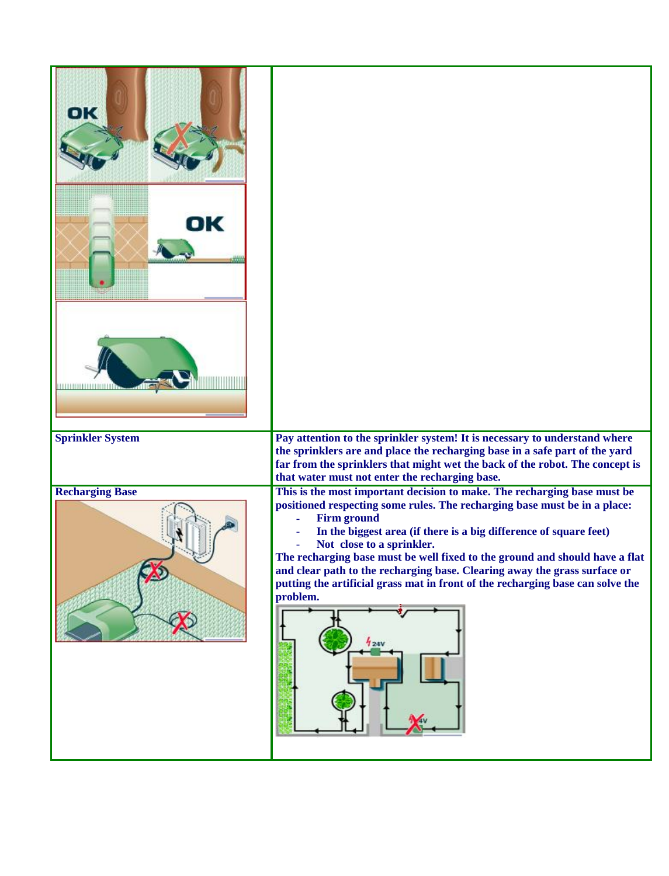| OK<br>DК<br>111111111111                          |                                                                                                                                                                                                                                                                                                                                                                                                                                                                                                                                                                                                                                                                                                                                                                                                                                                |
|---------------------------------------------------|------------------------------------------------------------------------------------------------------------------------------------------------------------------------------------------------------------------------------------------------------------------------------------------------------------------------------------------------------------------------------------------------------------------------------------------------------------------------------------------------------------------------------------------------------------------------------------------------------------------------------------------------------------------------------------------------------------------------------------------------------------------------------------------------------------------------------------------------|
| <b>Sprinkler System</b><br><b>Recharging Base</b> | Pay attention to the sprinkler system! It is necessary to understand where<br>the sprinklers are and place the recharging base in a safe part of the yard<br>far from the sprinklers that might wet the back of the robot. The concept is<br>that water must not enter the recharging base.<br>This is the most important decision to make. The recharging base must be<br>positioned respecting some rules. The recharging base must be in a place:<br><b>Firm ground</b><br>In the biggest area (if there is a big difference of square feet)<br>Not close to a sprinkler.<br>The recharging base must be well fixed to the ground and should have a flat<br>and clear path to the recharging base. Clearing away the grass surface or<br>putting the artificial grass mat in front of the recharging base can solve the<br>problem.<br>424V |
|                                                   |                                                                                                                                                                                                                                                                                                                                                                                                                                                                                                                                                                                                                                                                                                                                                                                                                                                |

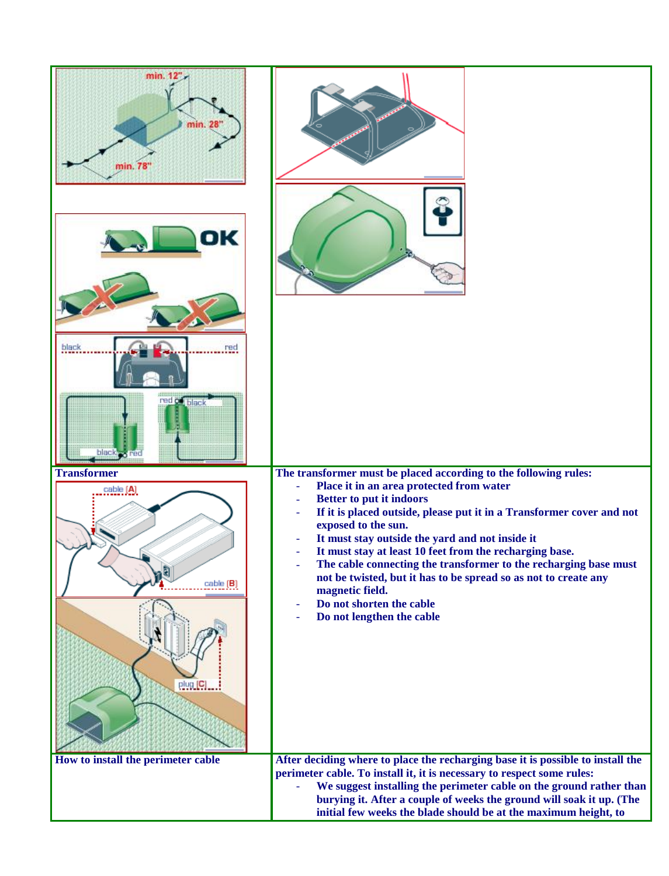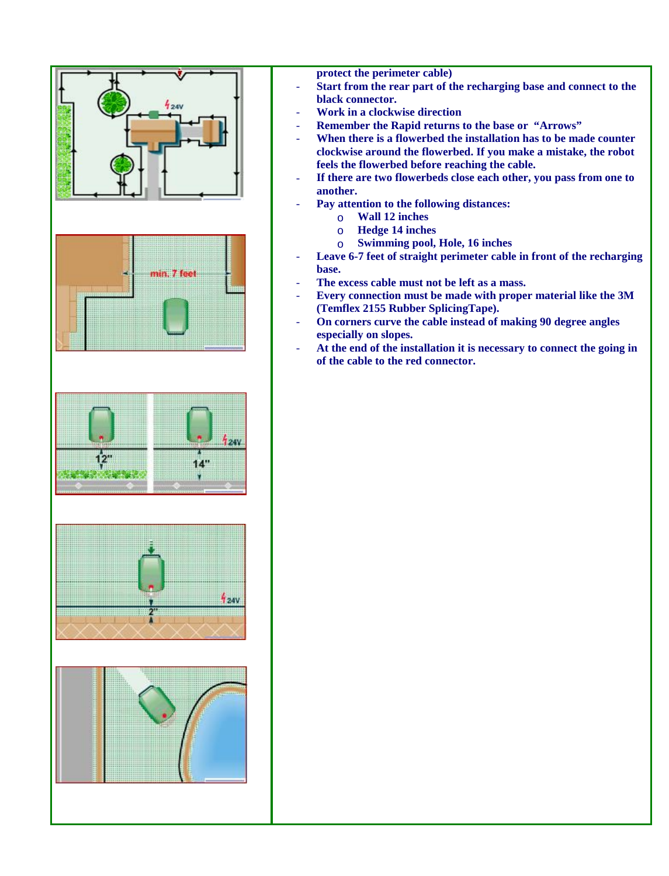

- **protect the perimeter cable)**
- **Start from the rear part of the recharging base and connect to the black connector.**
- **Work in a clockwise direction**
- **Remember the Rapid returns to the base or "Arrows"**
- When there is a flowerbed the installation has to be made counter **clockwise around the flowerbed. If you make a mistake, the robot feels the flowerbed before reaching the cable.**
- **If there are two flowerbeds close each other, you pass from one to another.**
- **Pay attention to the following distances:**
	- o **Wall 12 inches**
	- o **Hedge 14 inches**
	- o **Swimming pool, Hole, 16 inches**
- **Leave 6-7 feet of straight perimeter cable in front of the recharging base.**
- The excess cable must not be left as a mass.
- **Every connection must be made with proper material like the 3M (Temflex 2155 Rubber SplicingTape).**
- **On corners curve the cable instead of making 90 degree angles especially on slopes.**
- **At the end of the installation it is necessary to connect the going in of the cable to the red connector.**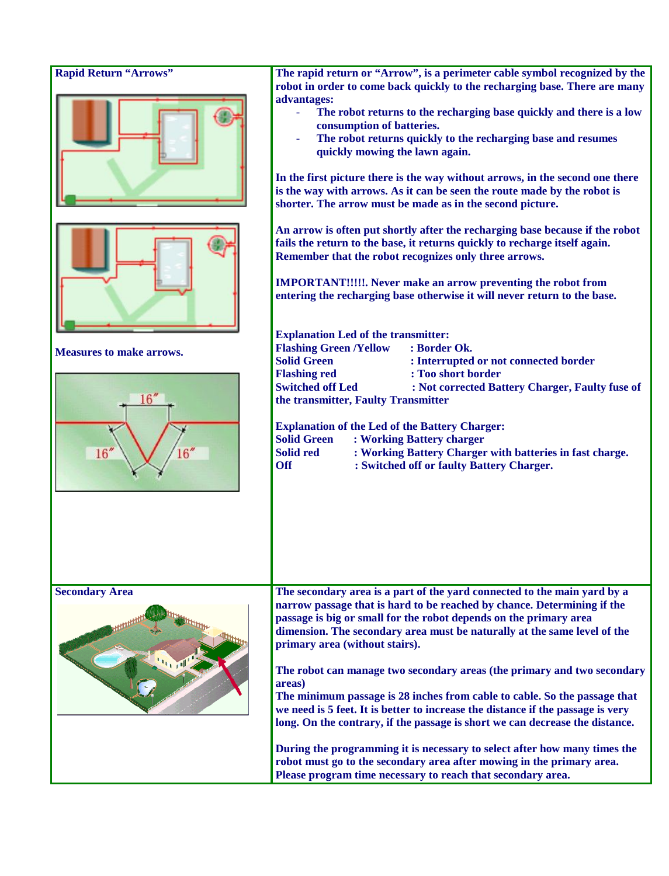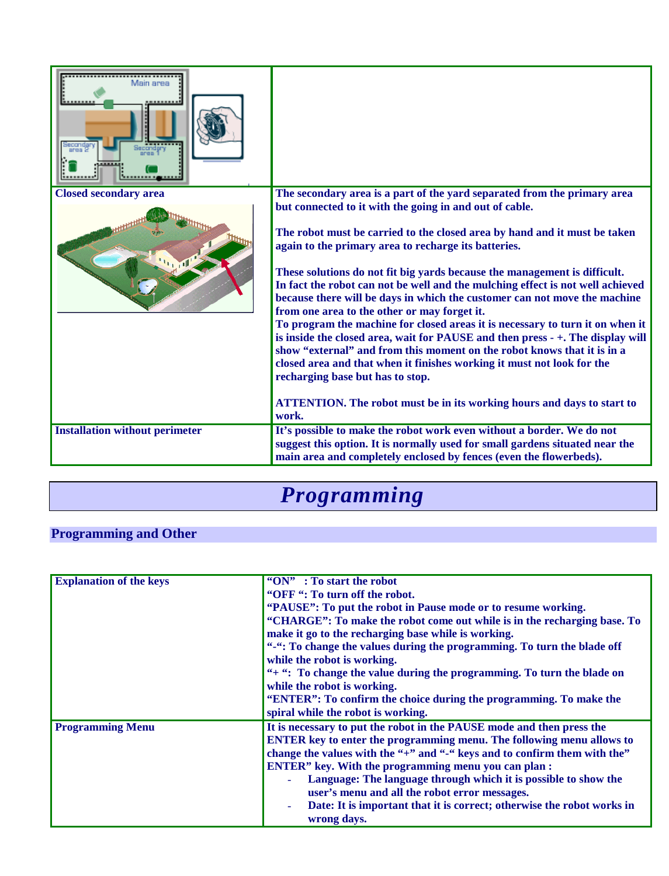| Main area<br>Secondary                |                                                                                                                                                                                                                                                                                                                                                                                                                                                                                                                                                                                                                                                                                                                                                                                                                                                                                                                                                                                                                     |
|---------------------------------------|---------------------------------------------------------------------------------------------------------------------------------------------------------------------------------------------------------------------------------------------------------------------------------------------------------------------------------------------------------------------------------------------------------------------------------------------------------------------------------------------------------------------------------------------------------------------------------------------------------------------------------------------------------------------------------------------------------------------------------------------------------------------------------------------------------------------------------------------------------------------------------------------------------------------------------------------------------------------------------------------------------------------|
| <b>Closed secondary area</b>          | The secondary area is a part of the yard separated from the primary area<br>but connected to it with the going in and out of cable.<br>The robot must be carried to the closed area by hand and it must be taken<br>again to the primary area to recharge its batteries.<br>These solutions do not fit big yards because the management is difficult.<br>In fact the robot can not be well and the mulching effect is not well achieved<br>because there will be days in which the customer can not move the machine<br>from one area to the other or may forget it.<br>To program the machine for closed areas it is necessary to turn it on when it<br>is inside the closed area, wait for PAUSE and then press - +. The display will<br>show "external" and from this moment on the robot knows that it is in a<br>closed area and that when it finishes working it must not look for the<br>recharging base but has to stop.<br>ATTENTION. The robot must be in its working hours and days to start to<br>work. |
| <b>Installation without perimeter</b> | It's possible to make the robot work even without a border. We do not<br>suggest this option. It is normally used for small gardens situated near the<br>main area and completely enclosed by fences (even the flowerbeds).                                                                                                                                                                                                                                                                                                                                                                                                                                                                                                                                                                                                                                                                                                                                                                                         |

### *Programming*

### **Programming and Other**

| <b>Explanation of the keys</b> | " $ON"$ : To start the robot                                                 |
|--------------------------------|------------------------------------------------------------------------------|
|                                | "OFF": To turn off the robot.                                                |
|                                | "PAUSE": To put the robot in Pause mode or to resume working.                |
|                                | "CHARGE": To make the robot come out while is in the recharging base. To     |
|                                | make it go to the recharging base while is working.                          |
|                                | "": ": To change the values during the programming. To turn the blade off    |
|                                | while the robot is working.                                                  |
|                                | "+ ": To change the value during the programming. To turn the blade on       |
|                                | while the robot is working.                                                  |
|                                | "ENTER": To confirm the choice during the programming. To make the           |
|                                | spiral while the robot is working.                                           |
| <b>Programming Menu</b>        | It is necessary to put the robot in the PAUSE mode and then press the        |
|                                | <b>ENTER</b> key to enter the programming menu. The following menu allows to |
|                                | change the values with the "+" and "-" keys and to confirm them with the"    |
|                                | <b>ENTER</b> " key. With the programming menu you can plan :                 |
|                                | Language: The language through which it is possible to show the<br>$\omega$  |
|                                | user's menu and all the robot error messages.                                |
|                                | Date: It is important that it is correct; otherwise the robot works in<br>÷, |
|                                | wrong days.                                                                  |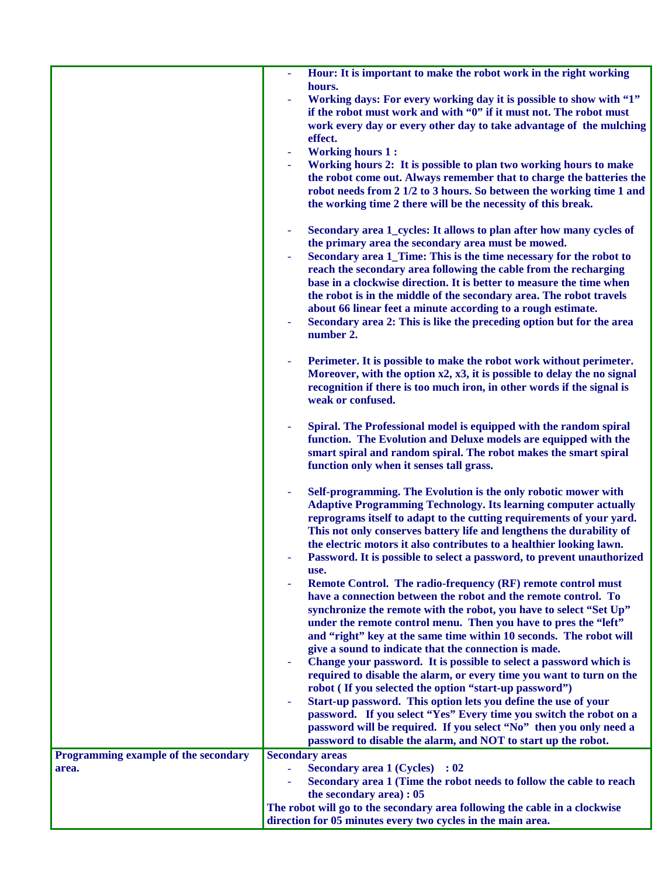|                                      | Hour: It is important to make the robot work in the right working                                                                                      |
|--------------------------------------|--------------------------------------------------------------------------------------------------------------------------------------------------------|
|                                      | hours.                                                                                                                                                 |
|                                      | Working days: For every working day it is possible to show with "1"<br>if the robot must work and with "0" if it must not. The robot must              |
|                                      | work every day or every other day to take advantage of the mulching                                                                                    |
|                                      | effect.                                                                                                                                                |
|                                      | <b>Working hours 1:</b><br>$\blacksquare$                                                                                                              |
|                                      | Working hours 2: It is possible to plan two working hours to make                                                                                      |
|                                      | the robot come out. Always remember that to charge the batteries the                                                                                   |
|                                      | robot needs from 2 1/2 to 3 hours. So between the working time 1 and                                                                                   |
|                                      | the working time 2 there will be the necessity of this break.                                                                                          |
|                                      | Secondary area 1_cycles: It allows to plan after how many cycles of<br>$\blacksquare$                                                                  |
|                                      | the primary area the secondary area must be mowed.                                                                                                     |
|                                      | Secondary area 1_Time: This is the time necessary for the robot to                                                                                     |
|                                      | reach the secondary area following the cable from the recharging                                                                                       |
|                                      | base in a clockwise direction. It is better to measure the time when                                                                                   |
|                                      | the robot is in the middle of the secondary area. The robot travels                                                                                    |
|                                      | about 66 linear feet a minute according to a rough estimate.<br>Secondary area 2: This is like the preceding option but for the area<br>$\blacksquare$ |
|                                      | number 2.                                                                                                                                              |
|                                      |                                                                                                                                                        |
|                                      | Perimeter. It is possible to make the robot work without perimeter.<br>Moreover, with the option $x2$ , $x3$ , it is possible to delay the no signal   |
|                                      | recognition if there is too much iron, in other words if the signal is                                                                                 |
|                                      | weak or confused.                                                                                                                                      |
|                                      |                                                                                                                                                        |
|                                      | Spiral. The Professional model is equipped with the random spiral                                                                                      |
|                                      | function. The Evolution and Deluxe models are equipped with the<br>smart spiral and random spiral. The robot makes the smart spiral                    |
|                                      | function only when it senses tall grass.                                                                                                               |
|                                      |                                                                                                                                                        |
|                                      | Self-programming. The Evolution is the only robotic mower with                                                                                         |
|                                      | <b>Adaptive Programming Technology. Its learning computer actually</b>                                                                                 |
|                                      | reprograms itself to adapt to the cutting requirements of your yard.                                                                                   |
|                                      | This not only conserves battery life and lengthens the durability of                                                                                   |
|                                      | the electric motors it also contributes to a healthier looking lawn.<br>Password. It is possible to select a password, to prevent unauthorized         |
|                                      | use.                                                                                                                                                   |
|                                      | Remote Control. The radio-frequency (RF) remote control must                                                                                           |
|                                      | have a connection between the robot and the remote control. To                                                                                         |
|                                      | synchronize the remote with the robot, you have to select "Set Up"                                                                                     |
|                                      | under the remote control menu. Then you have to pres the "left"                                                                                        |
|                                      | and "right" key at the same time within 10 seconds. The robot will<br>give a sound to indicate that the connection is made.                            |
|                                      | Change your password. It is possible to select a password which is                                                                                     |
|                                      | required to disable the alarm, or every time you want to turn on the                                                                                   |
|                                      | robot (If you selected the option "start-up password")                                                                                                 |
|                                      | Start-up password. This option lets you define the use of your                                                                                         |
|                                      | password. If you select "Yes" Every time you switch the robot on a                                                                                     |
|                                      | password will be required. If you select "No" then you only need a                                                                                     |
|                                      | password to disable the alarm, and NOT to start up the robot.                                                                                          |
| Programming example of the secondary | <b>Secondary areas</b>                                                                                                                                 |
| area.                                | <b>Secondary area 1 (Cycles) : 02</b><br>÷.<br>Secondary area 1 (Time the robot needs to follow the cable to reach                                     |
|                                      | the secondary area) : 05                                                                                                                               |
|                                      | The robot will go to the secondary area following the cable in a clockwise                                                                             |
|                                      | direction for 05 minutes every two cycles in the main area.                                                                                            |

**MMAMMAMMAMMA**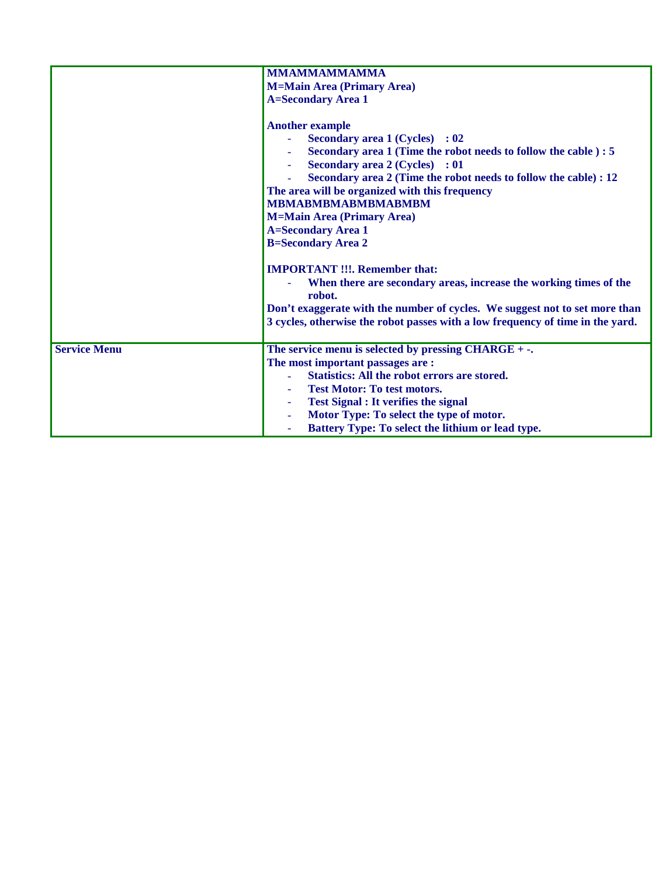|                     | <b>MMAMMAMMAMMA</b>                                                            |  |
|---------------------|--------------------------------------------------------------------------------|--|
|                     | <b>M=Main Area (Primary Area)</b>                                              |  |
|                     | <b>A=Secondary Area 1</b>                                                      |  |
|                     |                                                                                |  |
|                     | <b>Another example</b>                                                         |  |
|                     | <b>Secondary area 1 (Cycles) : 02</b>                                          |  |
|                     | Secondary area 1 (Time the robot needs to follow the cable) : 5                |  |
|                     | <b>Secondary area 2 (Cycles) : 01</b>                                          |  |
|                     | Secondary area 2 (Time the robot needs to follow the cable) : 12               |  |
|                     | The area will be organized with this frequency                                 |  |
|                     | <b>MBMABMBMABMBMABMBM</b>                                                      |  |
|                     | <b>M=Main Area (Primary Area)</b>                                              |  |
|                     |                                                                                |  |
|                     | <b>A=Secondary Area 1</b>                                                      |  |
|                     | <b>B=Secondary Area 2</b>                                                      |  |
|                     | <b>IMPORTANT !!!. Remember that:</b>                                           |  |
|                     |                                                                                |  |
|                     | When there are secondary areas, increase the working times of the              |  |
|                     | robot.                                                                         |  |
|                     | Don't exaggerate with the number of cycles. We suggest not to set more than    |  |
|                     | 3 cycles, otherwise the robot passes with a low frequency of time in the yard. |  |
|                     |                                                                                |  |
| <b>Service Menu</b> | The service menu is selected by pressing $CHARGE + -$ .                        |  |
|                     | The most important passages are:                                               |  |
|                     | <b>Statistics: All the robot errors are stored.</b>                            |  |
|                     | <b>Test Motor: To test motors.</b>                                             |  |
|                     | <b>Test Signal : It verifies the signal</b>                                    |  |
|                     | Motor Type: To select the type of motor.                                       |  |
|                     | Battery Type: To select the lithium or lead type.                              |  |
|                     |                                                                                |  |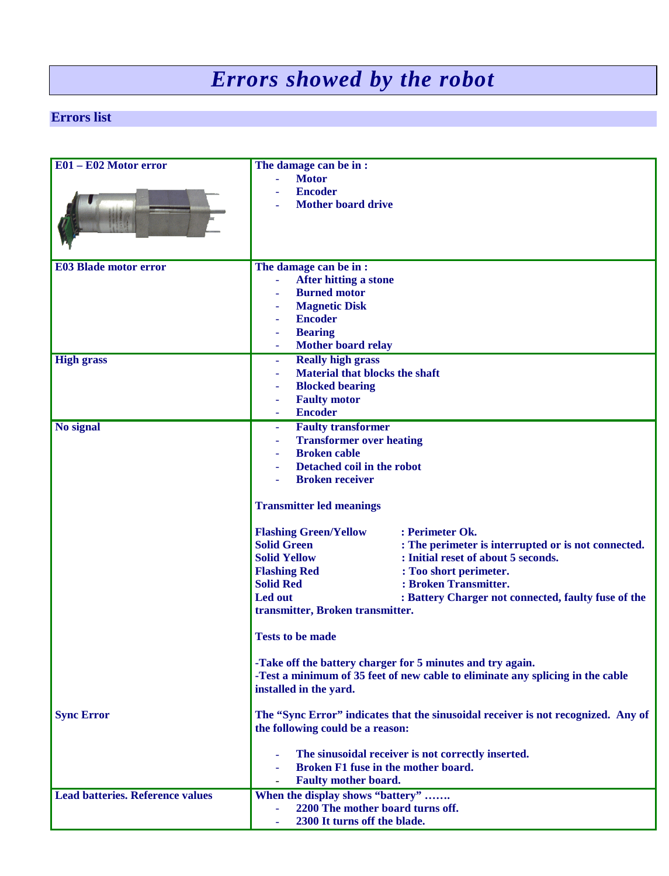## *Errors showed by the robot*

#### **Errors list**

| E01 - E02 Motor error                                      | The damage can be in:<br><b>Motor</b><br>Ξ.                                               |                                                     |
|------------------------------------------------------------|-------------------------------------------------------------------------------------------|-----------------------------------------------------|
|                                                            | <b>Encoder</b>                                                                            |                                                     |
|                                                            | <b>Mother board drive</b>                                                                 |                                                     |
| <b>E03 Blade motor error</b>                               | The damage can be in:                                                                     |                                                     |
|                                                            | <b>After hitting a stone</b><br>÷                                                         |                                                     |
|                                                            | <b>Burned motor</b>                                                                       |                                                     |
|                                                            | <b>Magnetic Disk</b><br><b>Encoder</b>                                                    |                                                     |
|                                                            | <b>Bearing</b>                                                                            |                                                     |
|                                                            | Mother board relay<br>$\blacksquare$                                                      |                                                     |
| <b>High grass</b>                                          | <b>Really high grass</b><br>÷,                                                            |                                                     |
|                                                            | <b>Material that blocks the shaft</b>                                                     |                                                     |
|                                                            | <b>Blocked bearing</b>                                                                    |                                                     |
|                                                            | <b>Faulty motor</b><br>$\blacksquare$                                                     |                                                     |
|                                                            | <b>Encoder</b>                                                                            |                                                     |
| No signal                                                  | <b>Faulty transformer</b><br>$\equiv$                                                     |                                                     |
|                                                            | <b>Transformer over heating</b><br>$\equiv$                                               |                                                     |
|                                                            | <b>Broken</b> cable                                                                       |                                                     |
|                                                            | Detached coil in the robot                                                                |                                                     |
|                                                            | <b>Broken receiver</b>                                                                    |                                                     |
|                                                            | <b>Transmitter led meanings</b>                                                           |                                                     |
|                                                            | <b>Flashing Green/Yellow</b>                                                              | : Perimeter Ok.                                     |
|                                                            | <b>Solid Green</b>                                                                        | : The perimeter is interrupted or is not connected. |
|                                                            | <b>Solid Yellow</b>                                                                       | : Initial reset of about 5 seconds.                 |
|                                                            | <b>Flashing Red</b>                                                                       | : Too short perimeter.                              |
|                                                            | <b>Solid Red</b>                                                                          | : Broken Transmitter.                               |
|                                                            | Led out                                                                                   | : Battery Charger not connected, faulty fuse of the |
|                                                            | transmitter, Broken transmitter.                                                          |                                                     |
|                                                            | <b>Tests to be made</b>                                                                   |                                                     |
| -Take off the battery charger for 5 minutes and try again. |                                                                                           |                                                     |
|                                                            | -Test a minimum of 35 feet of new cable to eliminate any splicing in the cable            |                                                     |
|                                                            | installed in the yard.                                                                    |                                                     |
| <b>Sync Error</b>                                          | The "Sync Error" indicates that the sinusoidal receiver is not recognized. Any of         |                                                     |
| the following could be a reason:                           |                                                                                           |                                                     |
|                                                            |                                                                                           |                                                     |
|                                                            | The sinusoidal receiver is not correctly inserted.<br>Broken F1 fuse in the mother board. |                                                     |
|                                                            |                                                                                           |                                                     |
|                                                            | <b>Faulty mother board.</b>                                                               |                                                     |
| <b>Lead batteries. Reference values</b>                    | When the display shows "battery"                                                          |                                                     |
|                                                            | 2200 The mother board turns off.<br>2300 It turns off the blade.                          |                                                     |
|                                                            |                                                                                           |                                                     |